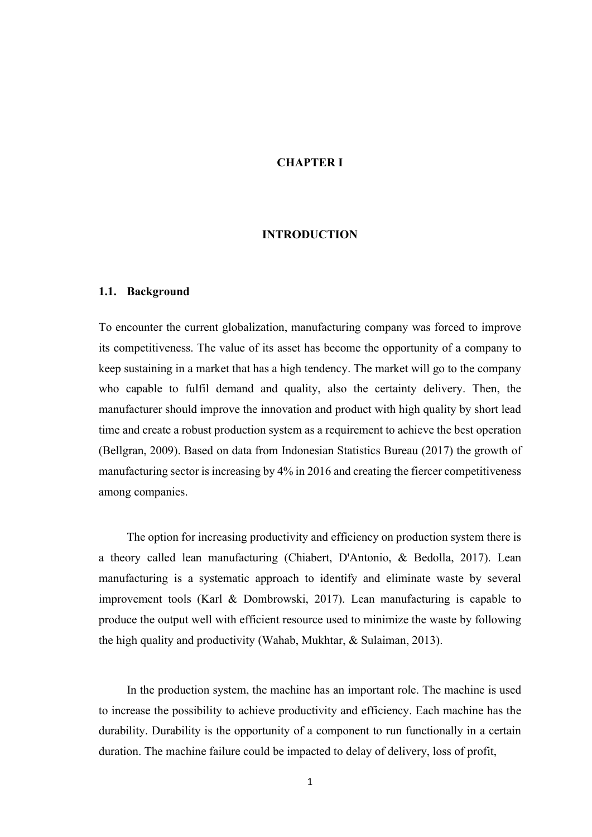# CHAPTER I

### INTRODUCTION

#### 1.1. Background

To encounter the current globalization, manufacturing company was forced to improve its competitiveness. The value of its asset has become the opportunity of a company to keep sustaining in a market that has a high tendency. The market will go to the company who capable to fulfil demand and quality, also the certainty delivery. Then, the manufacturer should improve the innovation and product with high quality by short lead time and create a robust production system as a requirement to achieve the best operation (Bellgran, 2009). Based on data from Indonesian Statistics Bureau (2017) the growth of manufacturing sector is increasing by 4% in 2016 and creating the fiercer competitiveness among companies.

The option for increasing productivity and efficiency on production system there is a theory called lean manufacturing (Chiabert, D'Antonio, & Bedolla, 2017). Lean manufacturing is a systematic approach to identify and eliminate waste by several improvement tools (Karl & Dombrowski, 2017). Lean manufacturing is capable to produce the output well with efficient resource used to minimize the waste by following the high quality and productivity (Wahab, Mukhtar, & Sulaiman, 2013).

In the production system, the machine has an important role. The machine is used to increase the possibility to achieve productivity and efficiency. Each machine has the durability. Durability is the opportunity of a component to run functionally in a certain duration. The machine failure could be impacted to delay of delivery, loss of profit,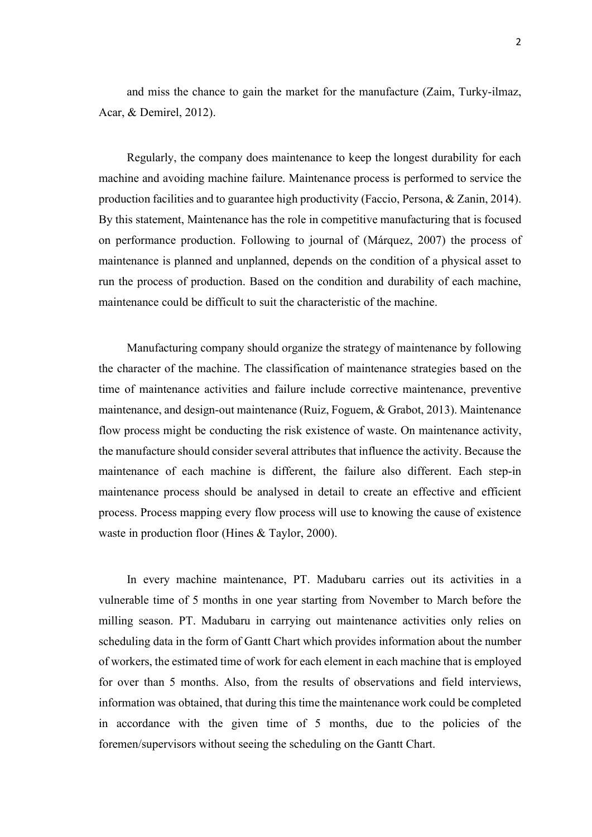and miss the chance to gain the market for the manufacture (Zaim, Turky-ilmaz, Acar, & Demirel, 2012).

Regularly, the company does maintenance to keep the longest durability for each machine and avoiding machine failure. Maintenance process is performed to service the production facilities and to guarantee high productivity (Faccio, Persona, & Zanin, 2014). By this statement, Maintenance has the role in competitive manufacturing that is focused on performance production. Following to journal of (Márquez, 2007) the process of maintenance is planned and unplanned, depends on the condition of a physical asset to run the process of production. Based on the condition and durability of each machine, maintenance could be difficult to suit the characteristic of the machine.

Manufacturing company should organize the strategy of maintenance by following the character of the machine. The classification of maintenance strategies based on the time of maintenance activities and failure include corrective maintenance, preventive maintenance, and design-out maintenance (Ruiz, Foguem, & Grabot, 2013). Maintenance flow process might be conducting the risk existence of waste. On maintenance activity, the manufacture should consider several attributes that influence the activity. Because the maintenance of each machine is different, the failure also different. Each step-in maintenance process should be analysed in detail to create an effective and efficient process. Process mapping every flow process will use to knowing the cause of existence waste in production floor (Hines & Taylor, 2000).

In every machine maintenance, PT. Madubaru carries out its activities in a vulnerable time of 5 months in one year starting from November to March before the milling season. PT. Madubaru in carrying out maintenance activities only relies on scheduling data in the form of Gantt Chart which provides information about the number of workers, the estimated time of work for each element in each machine that is employed for over than 5 months. Also, from the results of observations and field interviews, information was obtained, that during this time the maintenance work could be completed in accordance with the given time of 5 months, due to the policies of the foremen/supervisors without seeing the scheduling on the Gantt Chart.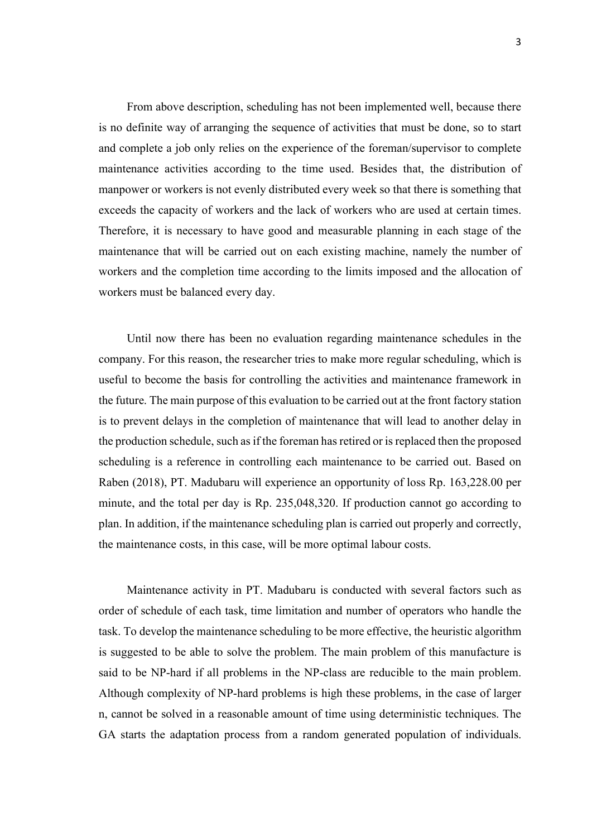From above description, scheduling has not been implemented well, because there is no definite way of arranging the sequence of activities that must be done, so to start and complete a job only relies on the experience of the foreman/supervisor to complete maintenance activities according to the time used. Besides that, the distribution of manpower or workers is not evenly distributed every week so that there is something that exceeds the capacity of workers and the lack of workers who are used at certain times. Therefore, it is necessary to have good and measurable planning in each stage of the maintenance that will be carried out on each existing machine, namely the number of workers and the completion time according to the limits imposed and the allocation of workers must be balanced every day.

Until now there has been no evaluation regarding maintenance schedules in the company. For this reason, the researcher tries to make more regular scheduling, which is useful to become the basis for controlling the activities and maintenance framework in the future. The main purpose of this evaluation to be carried out at the front factory station is to prevent delays in the completion of maintenance that will lead to another delay in the production schedule, such as if the foreman has retired or is replaced then the proposed scheduling is a reference in controlling each maintenance to be carried out. Based on Raben (2018), PT. Madubaru will experience an opportunity of loss Rp. 163,228.00 per minute, and the total per day is Rp. 235,048,320. If production cannot go according to plan. In addition, if the maintenance scheduling plan is carried out properly and correctly, the maintenance costs, in this case, will be more optimal labour costs.

Maintenance activity in PT. Madubaru is conducted with several factors such as order of schedule of each task, time limitation and number of operators who handle the task. To develop the maintenance scheduling to be more effective, the heuristic algorithm is suggested to be able to solve the problem. The main problem of this manufacture is said to be NP-hard if all problems in the NP-class are reducible to the main problem. Although complexity of NP-hard problems is high these problems, in the case of larger n, cannot be solved in a reasonable amount of time using deterministic techniques. The GA starts the adaptation process from a random generated population of individuals.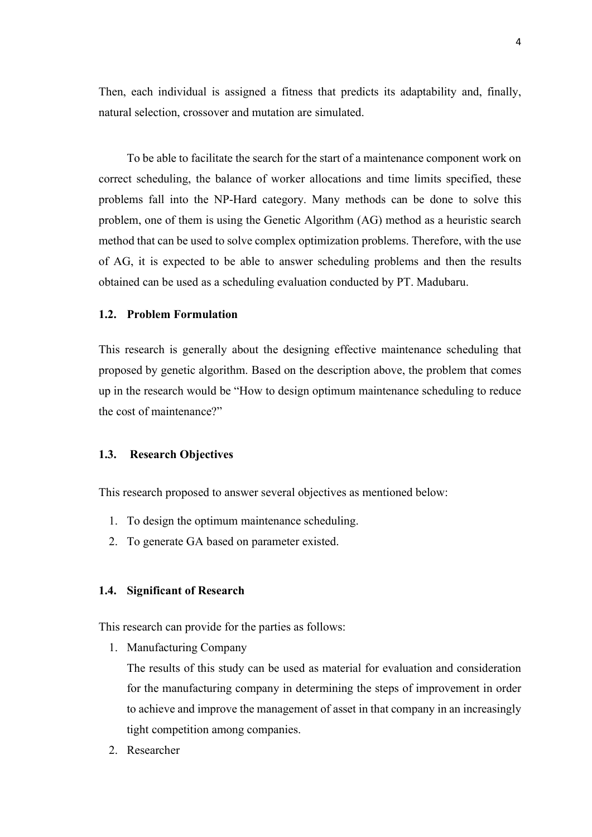Then, each individual is assigned a fitness that predicts its adaptability and, finally, natural selection, crossover and mutation are simulated.

To be able to facilitate the search for the start of a maintenance component work on correct scheduling, the balance of worker allocations and time limits specified, these problems fall into the NP-Hard category. Many methods can be done to solve this problem, one of them is using the Genetic Algorithm (AG) method as a heuristic search method that can be used to solve complex optimization problems. Therefore, with the use of AG, it is expected to be able to answer scheduling problems and then the results obtained can be used as a scheduling evaluation conducted by PT. Madubaru.

### 1.2. Problem Formulation

This research is generally about the designing effective maintenance scheduling that proposed by genetic algorithm. Based on the description above, the problem that comes up in the research would be "How to design optimum maintenance scheduling to reduce the cost of maintenance?"

### 1.3. Research Objectives

This research proposed to answer several objectives as mentioned below:

- 1. To design the optimum maintenance scheduling.
- 2. To generate GA based on parameter existed.

#### 1.4. Significant of Research

This research can provide for the parties as follows:

1. Manufacturing Company

The results of this study can be used as material for evaluation and consideration for the manufacturing company in determining the steps of improvement in order to achieve and improve the management of asset in that company in an increasingly tight competition among companies.

2. Researcher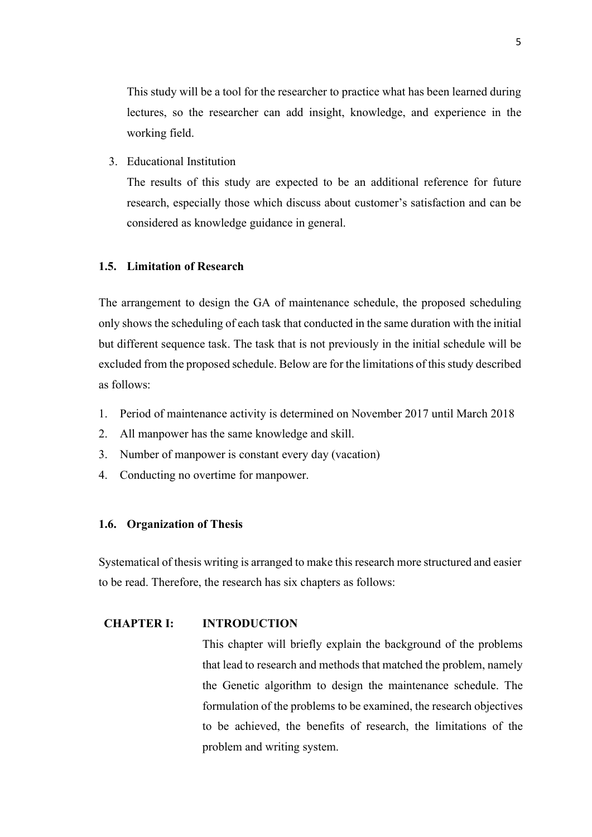This study will be a tool for the researcher to practice what has been learned during lectures, so the researcher can add insight, knowledge, and experience in the working field.

3. Educational Institution

The results of this study are expected to be an additional reference for future research, especially those which discuss about customer's satisfaction and can be considered as knowledge guidance in general.

### 1.5. Limitation of Research

The arrangement to design the GA of maintenance schedule, the proposed scheduling only shows the scheduling of each task that conducted in the same duration with the initial but different sequence task. The task that is not previously in the initial schedule will be excluded from the proposed schedule. Below are for the limitations of this study described as follows:

- 1. Period of maintenance activity is determined on November 2017 until March 2018
- 2. All manpower has the same knowledge and skill.
- 3. Number of manpower is constant every day (vacation)
- 4. Conducting no overtime for manpower.

### 1.6. Organization of Thesis

Systematical of thesis writing is arranged to make this research more structured and easier to be read. Therefore, the research has six chapters as follows:

### CHAPTER I: INTRODUCTION

This chapter will briefly explain the background of the problems that lead to research and methods that matched the problem, namely the Genetic algorithm to design the maintenance schedule. The formulation of the problems to be examined, the research objectives to be achieved, the benefits of research, the limitations of the problem and writing system.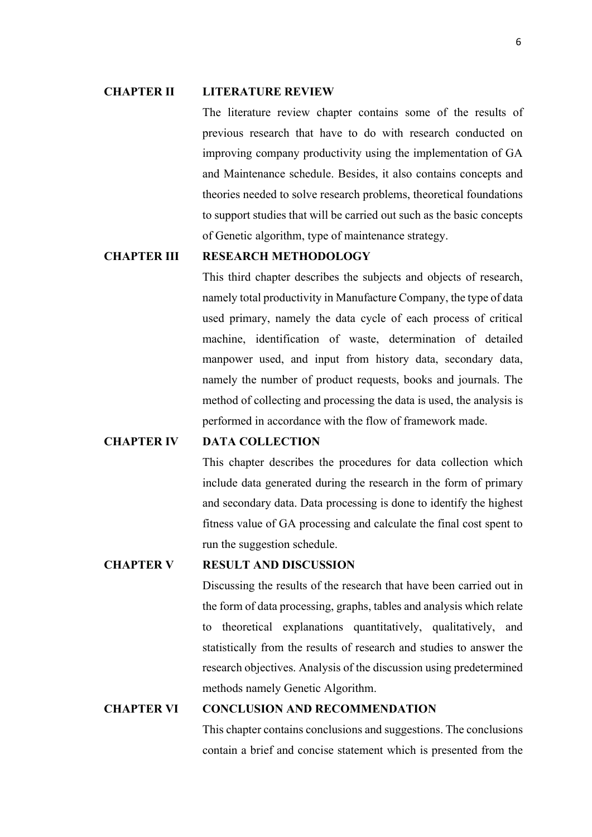#### CHAPTER II LITERATURE REVIEW

The literature review chapter contains some of the results of previous research that have to do with research conducted on improving company productivity using the implementation of GA and Maintenance schedule. Besides, it also contains concepts and theories needed to solve research problems, theoretical foundations to support studies that will be carried out such as the basic concepts of Genetic algorithm, type of maintenance strategy.

### CHAPTER III RESEARCH METHODOLOGY

This third chapter describes the subjects and objects of research, namely total productivity in Manufacture Company, the type of data used primary, namely the data cycle of each process of critical machine, identification of waste, determination of detailed manpower used, and input from history data, secondary data, namely the number of product requests, books and journals. The method of collecting and processing the data is used, the analysis is performed in accordance with the flow of framework made.

# CHAPTER IV DATA COLLECTION

This chapter describes the procedures for data collection which include data generated during the research in the form of primary and secondary data. Data processing is done to identify the highest fitness value of GA processing and calculate the final cost spent to run the suggestion schedule.

### CHAPTER V RESULT AND DISCUSSION

Discussing the results of the research that have been carried out in the form of data processing, graphs, tables and analysis which relate to theoretical explanations quantitatively, qualitatively, and statistically from the results of research and studies to answer the research objectives. Analysis of the discussion using predetermined methods namely Genetic Algorithm.

### CHAPTER VI CONCLUSION AND RECOMMENDATION

This chapter contains conclusions and suggestions. The conclusions contain a brief and concise statement which is presented from the